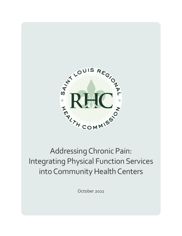

# Addressing Chronic Pain: Integrating Physical Function Services into Community Health Centers

October 2021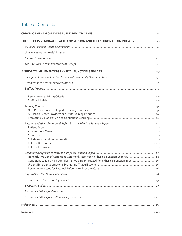# Table of Contents

| THE ST LOUIS REGIONAL HEALTH COMMISSION AND THEIR CHRONIC PAIN INITIATIVE  - 4 -              |  |
|-----------------------------------------------------------------------------------------------|--|
|                                                                                               |  |
|                                                                                               |  |
|                                                                                               |  |
|                                                                                               |  |
|                                                                                               |  |
|                                                                                               |  |
|                                                                                               |  |
|                                                                                               |  |
|                                                                                               |  |
|                                                                                               |  |
|                                                                                               |  |
|                                                                                               |  |
| Nonexclusive List of Conditions Commonly Referred to Physical Function Experts - 15 -         |  |
| Conditions When a Pain Complaint Should Be Prioritized for a Physical Function Expert  - 16 - |  |
|                                                                                               |  |
|                                                                                               |  |
|                                                                                               |  |
|                                                                                               |  |
|                                                                                               |  |
|                                                                                               |  |
|                                                                                               |  |
|                                                                                               |  |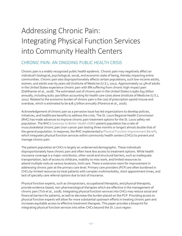# Addressing Chronic Pain: Integrating Physical Function Services into Community Health Centers

# <span id="page-2-0"></span>CHRONIC PAIN: AN ONGOING PUBLIC HEALTH CRISIS

Chronic pain is a widely recognized public health epidemic. Chronic pain may negatively affect an individual's biological, psychological, social, and economic state of being, thereby impacting entire communities. Chronic pain also disproportionately affects certain populations, such low-income adults, women, and adults over 65 years old (Institute of Medicine (U.S.), 2011). Approximately 20.4% of adults in the United States experience chronic pain with 8% suffering from chronic high-impact pain (Dahlhamer et al., 2018). The estimated cost of chronic pain in the United States is \$560-635 billion annually, including \$261-300 billion accounting for health care costs alone (Institute of Medicine (U.S.), 2011). Related to the economic burden of chronic pain is the cost of prescription opioid misuse and overdose, which is estimated to be \$78.5 billion annually (Florence et al., 2016).

Acknowledgement of chronic pain as a pervasive issue has led organizations to develop policies, initiatives, and healthcare benefits to address the crisis. The St. Louis Regional Health Commission (RHC) has made advances to improve chronic pain treatment options for the St. Louis safety net population. The RHC's [Gateway to Better Health \(GBH\)](#page-4-2) patient population has a rate of musculoskeletal chronic pain (non-cancer pain lasting three months or longer) almost double that of the general population. In response, the RHC implemented [a Physical Function Improvement Benefit,](#page-4-4) which integrates physical function services within community health centers (CHCs) to prevent and manage chronic pain.

The patient population at CHCs is largely an underserved demographic. These individuals disproportionately have chronic pain and often have less access to treatment options. While health insurance coverage is a major contributor, other social and structural barriers, such as inadequate transportation, lack of access to childcare, inability to miss work, and limited resources to attend multiple visits at various locations, limit care. There is extensive room for improvement in addressing chronic pain at the primary care level. Primary care providers (PCP) are often burdened in CHCs by limited resources to treat patients with complex multimorbidity, short appointment times, and lack of specialty care referral options due to lack of insurance.

Physical function experts, such as chiropractors, occupational therapists, and physical therapists, provide evidence-based, non-pharmacological therapies which are effective in the management of chronic pain (Tick et al., 2018). Integrating physical function services into CHCs may reduce social and financial barriers for patients, as well as decrease the burden placed on the PCP. Providing access to physical function experts will allow for more substantial upstream efforts in treating chronic pain and increases equitable access to effective treatment therapies. This paper provides a blueprint for integrating physical function services into other CHCs beyond the St. Louis region.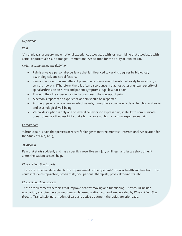## *Definitions:*

#### *Pain*

"An unpleasant sensory and emotional experience associated with, or resembling that associated with, actual or potential tissue damage" (International Association for the Study of Pain, 2020).

#### *Notes accompanying the definition*

- Pain is always a personal experience that is influenced to varying degrees by biological, psychological, and social factors.
- Pain and nociception are different phenomena. Pain cannot be inferred solely from activity in sensory neurons. [Therefore, there is often discordance in diagnostic testing (e.g., severity of spinal arthritis on an X-ray) and patient symptoms (e.g., low back pain).]
- Through their life experiences, individuals learn the concept of pain.
- A person's report of an experience as pain should be respected.
- Although pain usually serves an adaptive role, it may have adverse effects on function and social and psychological well-being.
- Verbal description is only one of several behaviors to express pain; inability to communicate does not negate the possibility that a human or a nonhuman animal experiences pain.

#### *Chronic pain*

"Chronic pain is pain that persists or recurs for longer than three months" (International Association for the Study of Pain, 2019).

#### *Acute pain*

Pain that starts suddenly and has a specific cause, like an injury or illness, and lasts a short time. It alerts the patient to seek help.

#### *Physical Function Experts*

These are providers dedicated to the improvement of their patients' physical health and function. They could include chiropractors, physiatrists, occupational therapists, physical therapists, etc.

#### *Physical Function Services*

These are treatment therapies that improve healthy moving and functioning. They could include evaluation, exercise therapy, neuromuscular re-education, etc. and are provided by *Physical Function Experts.* Transdisciplinary models of care and active treatment therapies are prioritized.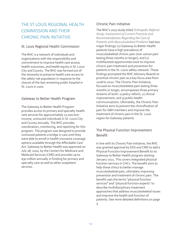# <span id="page-4-0"></span>THE ST LOUIS REGIONAL HEALTH COMMISSION AND THEIR CHRONIC PAIN INITIATIVE

# <span id="page-4-1"></span>St. Louis Regional Health Commission

The RHC is a network of individuals and organizations with the responsibility and commitment to improve health care access, health outcomes, and health equity in St. Louis City and County. The RHC was formed out of the necessity to preserve health care access to the safety-net population in response to the closure of the last remaining public hospital in St. Louis in 2001.

# <span id="page-4-2"></span>Gateway to Better Health Program

The Gateway to Better Health Program provides access to primary and specialty health care services for approximately 22,000 lowincome, uninsured individuals in St. Louis City and County annually. The RHC provides coordination, monitoring, and reporting for this program. The program was designed to provide uninsured patients a bridge in care until they were able to enroll in health insurance coverage options available through the Affordable Care Act. Gateway to Better Health was approved on July 28, 2010, by the Centers for Medicare and Medicaid Services (CMS) and provides up to \$30 million annually in funding for primary and specialty care as well as other outpatient services.

# <span id="page-4-3"></span>Chronic Pain Initiative

The RHC's 2017 study titled *[Orthopedic Referral](https://1s4g6c1ylxer1li24cn557f1-wpengine.netdna-ssl.com/wp-content/uploads/sites/63/2020/04/Ortho.Ref_.Study_2017.08.09.pdf)  [Study: Assessment of Current Practices and](https://1s4g6c1ylxer1li24cn557f1-wpengine.netdna-ssl.com/wp-content/uploads/sites/63/2020/04/Ortho.Ref_.Study_2017.08.09.pdf)  [Recommendations Regarding the Care of](https://1s4g6c1ylxer1li24cn557f1-wpengine.netdna-ssl.com/wp-content/uploads/sites/63/2020/04/Ortho.Ref_.Study_2017.08.09.pdf)  [Patients with Musculoskeletal Problems](https://1s4g6c1ylxer1li24cn557f1-wpengine.netdna-ssl.com/wp-content/uploads/sites/63/2020/04/Ortho.Ref_.Study_2017.08.09.pdf)* had two major findings: (1) Gateway to Better Health patients have a high prevalence of musculoskeletal chronic pain (non-cancer pain lasting three months or longer), and (2) multifaceted opportunities exist to improve chronic pain treatment and prevention for patients in the St. Louis safety network. These findings prompted the RHC Advisory Boards to prioritize chronic pain as a key focus area from 2018 to 2020. The Chronic Pain Initiative, focused on musculoskeletal pain lasting three months or longer, encompasses three primary streams of work: 1) policy reform, 2) clinical improvement, and 3) public health communications. Ultimately, the Chronic Pain Initiative aims to prevent the chronification of pain for GBH members and improve the treatment of chronic pain in the St. Louis region for Gateway patients.

# <span id="page-4-4"></span>The Physical Function Improvement Benefit

In line with its Chronic Pain Initiative, the RHC was granted approval by DSS and CMS to add a Physical Function Improvement Benefit to its Gateway to Better Health program starting January 2021. This covers integrated physical function services in CHCs. The benefit aims to help these clinics to better manage musculoskeletal pain, ultimately improving prevention and treatment of chronic pain. The benefit uses the terms "physical function services" and "physical function experts" to describe multidisciplinary treatment approaches that address musculoskeletal issues and improve the health and function of patients. See more detailed definitions on page 3.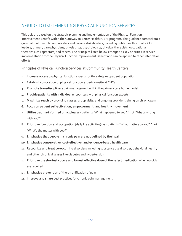# <span id="page-5-0"></span>A GUIDE TO IMPLEMENTING PHYSICAL FUNCTION SERVICES

This guide is based on the strategic planning and implementation of the Physical Function Improvement Benefit within the Gateway to Better Health (GBH) program. This guidance comes from a group of multidisciplinary providers and diverse stakeholders, including public health experts, CHC leaders, primary care physicians, physiatrists, psychologists, physical therapists, occupational therapists, chiropractors, and others. The principles listed below emerged as key priorities in service implementation for the Physical Function Improvement Benefit and can be applied to other integration efforts.

## <span id="page-5-1"></span>Principles of Physical Function Services at Community Health Centers

- 1. **Increase access** to physical function experts for the safety net patient population
- 2. **Establish co-location** of physical function experts on-site at CHCs
- 3. **Promote transdisciplinary** pain management within the primary care home model
- 4. **Provide patients with individual encounters** with physical function experts
- 5. **Maximize reach** by providing classes, group visits, and ongoing provider training on chronic pain
- **6. Focus on patient self-activation, empowerment, and healthy movement**
- 7. **Utilize trauma-informed principles**: ask patients "What happened to you?," not "What's wrong with you?"
- 8. **Prioritize function and occupation** (daily life activities): ask patients "What matters to you?," not "What's the matter with you?"
- **9. Emphasize that people in chronic pain are not defined by their pain**
- **10. Emphasize conservative, cost-effective, and evidence-based health care**
- 11. **Recognize and treat co-occurring disorders** including substance use disorder, behavioral health, and other chronic diseases like diabetes and hypertension
- 12. **Prioritize the shortest course and lowest effective dose of the safest medication** when opioids are required
- 13. **Emphasize prevention** of the chronification of pain
- <span id="page-5-2"></span>14. **Improve and share** best practices for chronic pain management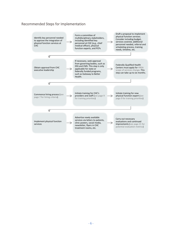# Recommended Steps for Implementation

<span id="page-6-0"></span>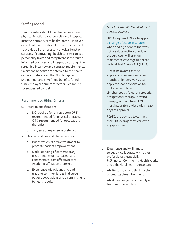# Staffing Model

Health centers should maintain at least one physical function expert on-site and integrated into their primary care health home. However, experts of multiple disciplines may be needed to provide all the necessary physical function services. If contracting, health centers can vet personality traits and receptiveness to traumainformed practices and integration through the screening interview and contract requirements. Salary and benefits are deferred to the health centers' preferences; the RHC budgeted \$50.00/hour and 15% fringe benefits for full time employees and contractors. Se[e table 4](#page-20-0) for suggested budget.

#### <span id="page-7-2"></span><span id="page-7-0"></span>Recommended Hiring Criteria

- 1. Position qualifications:
	- a. DC required for chiropractor; DPT recommended for physical therapist; OTD recommended for occupational therapist
	- b. 3-5 years of experience preferred
- 2. Desired abilities and characteristics:
	- a. Prioritization of active treatment to promote patient empowerment
	- b. Understanding of contemporary treatment, evidence-based, and conservative (cost effective) care. Academic affiliation preferred
	- c. Experience with diagnosing and treating common issues in diverse patient populations and a commitment to health equity

## <span id="page-7-1"></span>*Note for Federally Qualified Health Centers (FQHCs):*

HRSA requires FQHCs to apply for [a change of scope in services](https://bphc.hrsa.gov/programrequirements/scope.html) when adding a service that was not previously offered. Adding the service(s) will provide malpractice coverage under the Federal Tort Claims Act (FTCA).

Please be aware that the application process can take six months or longer. FQHCs can apply for scope expansion for multiple disciplines simultaneously (e.g., chiropractic, occupational therapy, physical therapy, acupuncture). FQHCs must integrate services within 120 days of approval.

FQHCs are advised to contact their HRSA project officers with any questions.

- d. Experience and willingness to deeply collaborate with other professionals, especially PCP, nurse, Community Health Worker, and behavioral health consultant
- e. Ability to move and think fast in unpredictable environment
- f. Ability and eagerness to apply a trauma-informed lens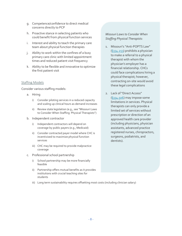- g. Competence/confidence to direct medical concerns directly to PCP
- h. Proactive stance in selecting patients who could benefit from physical function services
- i. Interest and ability to teach the primary care team about physical function therapies
- j. Ability to work within the confines of a busy primary care clinic with limited appointment times and reduced patient visit frequency
- k. Ability to be flexible and innovative to optimize the first patient visit

#### <span id="page-8-0"></span>Staffing Models

Consider various staffing models:

- a. Hiring
	- i) Consider piloting services in a reduced capacity and scaling up clinical hours as demand increases
	- ii) Review state legislation (e.g., see "Missouri Laws to Consider When Staffing Physical Therapists")
- b. Independent contractor
	- i) Independent contractors will depend on coverage by public payers (e.g., Medicaid)
	- ii) Consider contracted payer model where CHC is incentivized to maximize physical function services
	- iii) CHC may be required to provide malpractice coverage
- c. Professional school partnership
	- i) School partnership may be more financially feasible
	- ii) Partnership offers mutual benefits as it provides institutions with crucial teaching sites for students
- *Missouri Laws to Consider When Staffing Physical Therapists:*
- 1. Missouri's "Anti-POPTS Law" [\(§334.253\)](https://revisor.mo.gov/main/OneSection.aspx?section=334.253) prohibits a physician to make a referral to a physical therapist with whom the physician's employer has a financial relationship. CHCs could face complications hiring a physical therapist; however, contracting on-site would avoid these legal complications
- 2. Lack of "Direct Access" [\(§334.506\)](https://revisor.mo.gov/main/OneSection.aspx?section=334.506) may impose some limitations in services. Physical therapists can only provide a limited set of services without prescription or direction of an approved health care provider (including physicians, physician assistants, advanced practice registered nurses, chiropractors, surgeons, podiatrists, and dentists).

iii) Long term sustainability requires offsetting most costs (including clinician salary)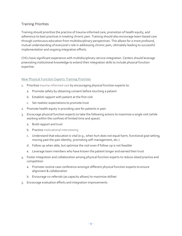# <span id="page-9-0"></span>Training Priorities

Training should prioritize the practice of trauma-informed care, promotion of health equity, and adherence to best practices in treating chronic pain. Training should also encourage team-based care through continuous education from multidisciplinary perspectives. This allows for a more profound, mutual understanding of everyone's role in addressing chronic pain, ultimately leading to successful implementation and ongoing integration efforts.

CHCs have significant experience with multidisciplinary service integration. Centers should leverage preexisting institutional knowledge to extend their integration skills to include physical function expertise.

#### <span id="page-9-1"></span>New Physical Function Experts Training Priorities

- 1. Prioritize [trauma-informed care](#page-24-1) by encouraging physical function experts to:
	- a. Promote safety by obtaining consent before touching a patient
	- b. Establish rapport with patient at the first visit
	- c. Set realistic expectations to promote trust
- 2. Promote health equity in providing care for patients in pain
- 3. Encourage physical function experts to take the following actions to maximize a single visit (while working within the confines of limited time and space):
	- a. Build rapport and trust
	- b. Practice [motivational interviewing](#page-24-0)
	- c. Understand that education is vital (e.g., when hurt does not equal harm, functional goal setting, moving past the pain identity, promoting self-management, etc.)
	- d. Follow up when able, but optimize the visit even if follow-up is not feasible
	- e. Leverage team members who have known the patient longer and earned their trust
- 4. Foster integration and collaboration among physical function experts to reduce siloed practice and competition
	- a. Promote routine case conference amongst different physical function experts to ensure alignment & collaboration
	- b. Encourage co-referrals (as capacity allows) to maximize skillset
- <span id="page-9-3"></span><span id="page-9-2"></span>5. Encourage evaluation efforts and integration improvements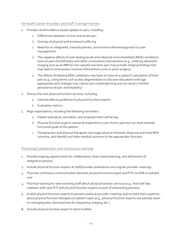#### All Health Center Providers and Staff Training Priorities

- 1. Provide a brief evidence-based update on pain, including:
	- a. Differences between chronic and acute pain
	- b. Overlap of physical and emotional suffering
	- c. Need for an integrated, transdisciplinary, and trauma-informed approach to pain management
	- d. The negative effects of over-testing acute and subacute musculoskeletal (MSK) conditions have on pain chronification and other unnecessary interventions (e.g., ordering advanced imaging such as an MRI for non-specific low back pain may provide imaging findings that may lead to unnecessary invasive interventions such as spine surgery)
	- e. The effects of labeling MSK conditions may have on have on a patient's perception of their pain (e.g., using terms such as disc degeneration in a 60 year old patient with age appropriate joint changes may induce pain catastrophizing and can result in further persistence of pain and disability)
- 2. Discuss the new physical function services, including:
	- a. Internal referral guidelines to physical function experts
	- b. Evaluation metrics
- 3. Align expectations, including the following reminders:
	- a. Patient education, activation, and empowerment will be key
	- b. Physical function experts cannot be expected to cure chronic pain but can work towards functional goals of the patient
	- c. Chiropractors and physical therapists can triage physical ailments, diagnose and treat MSK concerns, and identify and refer medical concerns to the appropriate clinicians

#### Promoting Collaboration and Continuous Learning

- 1. Provide ongoing opportunities for collaboration, team-based learning, and refinement of integration process
- 2. Include physical function experts at staff/provider orientations and regular provider meetings
- 3. Promote continuous communication between physical function expert and PCP via EHR on patient care
- 4. Prioritize training for new incoming staff about physical function services (e.g., host half-day rotations with new PCP and physical function experts as part of onboarding process)
- 5. Enable physical function experts to present yearly at provider meetings and to share their expertise about physical function therapies on patient cases (e.g., physical function experts can educate team on managing pain, best practices for requesting imaging, etc.)
- <span id="page-10-0"></span>6. Include physical function expert in team huddles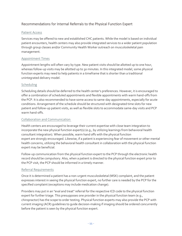# Recommendations for Internal Referrals to the Physical Function Expert

#### <span id="page-11-0"></span>Patient Access

Services may be offered to new and established CHC patients. While the model is based on individual patient encounters, health centers may also provide integrated services to a wider patient population through group classes and/or Community Health Worker outreach on musculoskeletal pain management.

#### <span id="page-11-1"></span>Appointment Times

Appointment lengths will often vary by type. New patient visits should be allotted up to one hour, whereas follow-up visits may be allotted up to 30 minutes. In this integrated model, some physical function experts may need to help patients in a timeframe that is shorter than a traditional unintegrated delivery model.

#### <span id="page-11-2"></span>Scheduling

Scheduling details should be deferred to the health center's preferences. However, it is encouraged to offer a combination of scheduled appointments and flexible appointments with warm hand-offs from the PCP. It is also recommended to have some access to same-day appointments, especially for acute conditions. Arrangement of the schedule should be structured with designated time slots for new patient and follow-up patient visits, as well as flexible slots to accommodate same-day visits and PCP warm hand-offs.

#### <span id="page-11-3"></span>Collaboration and Communication

Health centers are encouraged to leverage their current expertise with close team integration to incorporate the new physical function expert(s) (e.g., by utilizing learnings from behavioral health consultant integration). When possible, warm hand offs with the physical function expert are strongly encouraged. Likewise, if a patient is experiencing fear of movement or other mental health concerns, utilizing the behavioral health consultant in collaboration with the physical function expert may be beneficial.

Follow-up communication from the physical function expert to the PCP through the electronic health record should be compulsory. Also, when a patient is directed to the physical function expert prior to the PCP visit, the PCP should be informed in a timely manner.

#### <span id="page-11-4"></span>Referral Requirements

Once it is determined a patient has a non-urgent musculoskeletal (MSK) complaint, and the patient expresses interest in seeing the physical function expert, no further care is needed by the PCP for the specified complaint (exceptions may include medication change).

Providers may put in an "eval and treat" referral for the respective ICD code to the physical function expert for further triage. This presupposes one provider in the physical function team (e.g., chiropractor) has the scope to order testing. Physical function experts may also provide the PCP with current imaging (ACR) guidelines to guide decision-making if imaging should be ordered concurrently before the patient is seen by the physical function expert.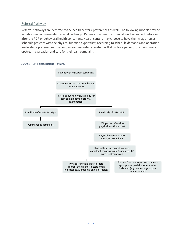#### <span id="page-12-0"></span>Referral Pathway

Referral pathways are deferred to the health centers' preferences as well. The following models provide variations in recommended referral pathways. Patients may see the physical function expert before or after the PCP or behavioral health consultant. Health centers may choose to have their triage nurses schedule patients with the physical function expert first, according to schedule demands and operation leadership's preferences. Ensuring a seamless referral system will allow for a patient to obtain timely, upstream evaluation and care for their pain complaint.



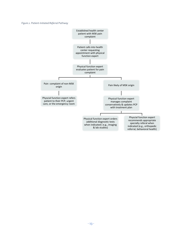#### *Figure 2. Patient-Initiated Referral Pathway*

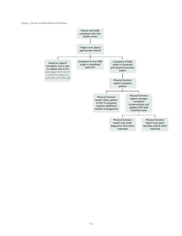#### *Figure 3.* Nurse-Initiated Referral Pathway

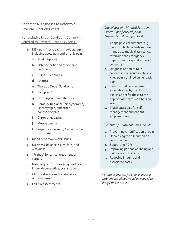# <span id="page-15-0"></span>Conditions/Diagnoses to Refer to a Physical Function Expert

#### <span id="page-15-1"></span>Nonexclusive List of Conditions Commonly Referred to Physical Function Experts\*

- 1. MSK pain (neck, back, shoulder, leg), including acute pain and chronic pain
	- a. Strains/sprains
	- b. Osteoarthritis and other joint pathology
	- c. Bursitis/Tendinitis
	- d. Sciatica
	- e. Thoracic Outlet Syndrome
	- f. "Whiplash"
	- g. Nonsurgical spinal stenosis
	- h. Complex Regional Pain Syndrome, Fibromyalgia, and other nonspecific pain
	- i. Chronic headache
	- j. Muscle spasms
	- k. Repetitive use (e.g., Carpal Tunnel Syndrome)
- 2. Mobility or movement issues
- 3. Dizziness, balance issues, falls, and weakness
- 4. "Prehab" for cancer treatment or surgery
- 5. Neurological disorders (acquired brain injury, degenerative, post stroke)
- 6. Chronic disease such as diabetes or hypertension
- 7. Fall risk assessments

*Capabilities of a Physical Function Expert (Specifically Physical Therapists and Chiropractors):*

- 1. Triage physical ailments (e.g., identify which patients require immediate medical assistance, referral to the emergency department, or spinal surgery consults)
- 2. Diagnose and treat MSK concerns (e.g., acute or chronic knee pain, sprained ankle, back pain)
- 3. Identify medical concerns not amenable to physical function expert and refer these to the appropriate team members on site
- 4. Teach strategies for selfmanagement and patient empowerment

#### *Benefits of Treatment Could Include:*

- 1. Preventing chronification of pain
- 2. Decreasing the pill burden on communities
- 3. Supporting PCPs
- 4. Improving patient wellbeing and pain-related disability
- 5. Reducing imaging and associated costs

<span id="page-15-2"></span>*\* Multiple physical function experts of different disciplines would be needed to satisfy this entire list.*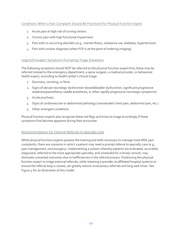## <span id="page-16-0"></span>Conditions When a Pain Complaint Should Be Prioritized for Physical Function Expert

- 1. Acute pain at high risk of turning chronic
- 2. Chronic pain with high functional impairment
- 3. Pain with co-occurring disorders (e.g., mental illness, substance use, diabetes, hypertension)
- 4. Pain with unclear diagnosis (when PCP is at the point of ordering imaging)

#### <span id="page-16-1"></span>Urgent/Emergent Symptoms Prompting Triage Elsewhere

The following symptoms should NOT be referred to the physical function expert first; these may be referred instead to the emergency department, a spine surgeon, a medical provider, or behavioral health expert, according to health center's clinical triage.

- 1. Dizziness, vomiting, or fever
- 2. Signs of abrupt neurologic dysfunction (bowel/bladder dysfunction, significant progressive weakness/paresthesia, saddle anesthesia, or other rapidly progressive neurologic symptoms)
- 3. Acute psychosis
- 4. Signs of cardiovascular or abdominal pathology (unevaluated chest pain, abdominal pain, etc.)
- 5. Other emergent conditions

Physical function experts also recognize these red flags and know to triage accordingly if these symptoms first become apparent during their encounter.

#### <span id="page-16-2"></span>Recommendations for External Referrals to Specialty Care

While physical function experts possess the training and skills necessary to manage most MSK pain complaints, there are scenarios in which a patient may need a prompt referral to specialty care (e.g., pain management, neurosurgery). Implementing a system whereby patients are evaluated, accurately diagnosed, referred to the most appropriate specialty, and scheduled for a timely consult, may eliminate unwanted outcomes due to inefficiencies in the referral process. Positioning the physical function expert to triage external referrals, while retaining a provider at affiliated hospital systems to ensure the referral loop is closed, can greatly reduce unnecessary referrals and long wait times. See Figure 4 for an illustration of this model.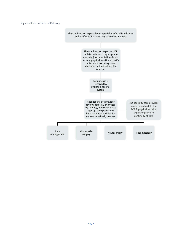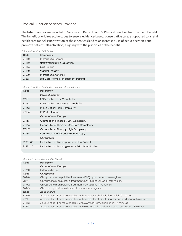# <span id="page-18-0"></span>Physical Function Services Provided

The listed services are included in Gateway to Better Health's Physical Function Improvement Benefit. The benefit prioritizes active codes to ensure evidence-based, conservative care, as opposed to a retail health care model. Prioritization of these services lead to an increased use of active therapies and promote patient self-activation, aligning with the principles of the benefit.

| Table 1: Prioritized CPT Codes |                                    |  |  |
|--------------------------------|------------------------------------|--|--|
| Code                           | <b>Description</b>                 |  |  |
| 97110                          | Therapeutic Exercise               |  |  |
| 97112                          | Neuromuscular Re-Education         |  |  |
| 97116                          | Gait Training                      |  |  |
| 97140                          | Manual Therapy                     |  |  |
| 97530                          | Therapeutic Activities             |  |  |
| 97535                          | Self-Care/Home Management Training |  |  |

#### *Table 2: Prioritized Evaluation and Reevaluation Codes*

| Code     | <b>Description</b>                              |
|----------|-------------------------------------------------|
|          | <b>Physical Therapy</b>                         |
| 97161    | PT Evaluation: Low Complexity                   |
| 97162    | PT Evaluation: Moderate Complexity              |
| 97163    | PT Evaluation: High Complexity                  |
| 97164    | PT Re-Evaluation                                |
|          | <b>Occupational Therapy</b>                     |
| 97165    | Occupational Therapy, Low Complexity            |
| 97166    | Occupational Therapy, Moderate Complexity       |
| 97167    | Occupational Therapy, High Complexity           |
| 97168    | Reevaluation of Occupational Therapy            |
|          | Chiropractic                                    |
| 99201-05 | Evaluation and Management – New Patient         |
| 99211-15 | Evaluation and Management - Established Patient |
|          |                                                 |

#### *Table 3: CPT Codes Optional to Provide*

| Code  | <b>Description</b>                                                                             |
|-------|------------------------------------------------------------------------------------------------|
|       | <b>Occupational Therapy</b>                                                                    |
| 97760 | Orthotics Fitting                                                                              |
| Code  | Chiropractic                                                                                   |
| 98940 | Chiropractic manipulative treatment (CMT); spinal, one or two regions                          |
| 98941 | Chiropractic manipulative treatment (CMT); spinal, three or four regions                       |
| 98942 | Chiropractic manipulative treatment (CMT); spinal, five regions                                |
| 98943 | Chiro, manipulation, extraspinal, one or more regions                                          |
| Code  | Acupuncture                                                                                    |
| 97810 | Acupuncture, 1 or more needles; without electrical stimulation, initial 15 minutes             |
| 97811 | Acupuncture, 1 or more needles; without electrical stimulation, for each additional 15 minutes |
| 97813 | Acupuncture, 1 or more needles; with electrical stimulation, initial 15 minutes                |
| 97814 | Acupuncture, 1 or more needles; with electrical stimulation, for each additional 15 minutes    |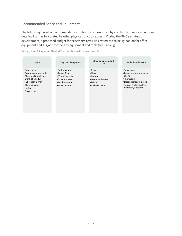# <span id="page-19-0"></span>Recommended Space and Equipment

The following is a list of recommended items for the provision of physical function services. A more detailed list may be curated by other physical function experts. During the RHC's strategic development, a proposed budget for necessary items was estimated to be \$5,000.00 for office equipment and \$12,000 for therapy equipment and tools (see [Table 4\)](#page-20-0).

*Figure 5.* List of Suggested Physical Function Service Equipment and Tools

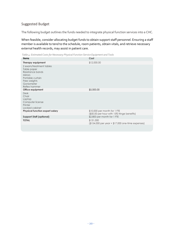# <span id="page-20-0"></span>Suggested Budget

The following budget outlines the funds needed to integrate physical function services into a CHC.

When feasible, consider allocating budget funds to obtain support staff personnel. Ensuring a staff member is available to tend to the schedule, room patients, obtain vitals, and retrieve necessary external health records, may assist in patient care.

*Table 4: Estimated Costs for Necessary Physical Function Service Equipment and Tools*

| <b>Items</b>                                                                                                                                    | Cost                                                                        |
|-------------------------------------------------------------------------------------------------------------------------------------------------|-----------------------------------------------------------------------------|
| Therapy equipment                                                                                                                               | \$12,000.00                                                                 |
| 2 exam/treatment tables<br>Table paper<br>Resistance bands<br><b>Mirrors</b><br>Portable curtain<br>Free weights<br>Goniometer<br>Reflex hammer |                                                                             |
| Office equipment                                                                                                                                | \$5,000.00                                                                  |
| <b>Desk</b><br>Chair<br>Laptop<br>Computer license<br>Printer<br>Locked cabinet                                                                 |                                                                             |
| <b>Physical function expert salary</b>                                                                                                          | \$10,000 per month for 1 FTE<br>(\$50.00 per hour with 15% fringe benefits) |
| <b>Support Staff (optional)</b>                                                                                                                 | \$2,800 per month for 1 FTE                                                 |
| <b>TOTAL</b>                                                                                                                                    | \$131,000<br>$($154,000$ per year + $$17,000$ one-time expenses)            |
|                                                                                                                                                 |                                                                             |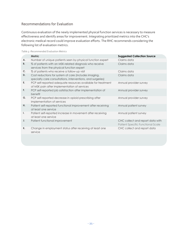# <span id="page-21-0"></span>Recommendations for Evaluation

Continuous evaluation of the newly implemented physical function services is necessary to measure effectiveness and identify areas for improvement. Integrating prioritized metrics into the CHC's electronic medical record could improve evaluation efforts. The RHC recommends considering the following list of evaluation metrics.

| Table 5: Recommended Evaluation Metrics |  |
|-----------------------------------------|--|
|-----------------------------------------|--|

<span id="page-21-1"></span>

|    | <b>Metric</b>                                                                                                        | <b>Suggested Collection Source</b>                                    |
|----|----------------------------------------------------------------------------------------------------------------------|-----------------------------------------------------------------------|
| А. | Number of unique patients seen by physical function expert                                                           | Claims data                                                           |
| В. | % of patients with an MSK-related diagnosis who receive<br>services from the physical function expert                | Claims data                                                           |
| C. | % of patients who receive a follow-up visit                                                                          | Claims data                                                           |
| D. | Cost reductions for system of care (includes imaging,<br>specialty care consultations, interventions, and surgeries) | Claims data                                                           |
| Е. | PCP self-reported adequate resources available for treatment<br>of MSK pain after implementation of services         | Annual provider survey                                                |
| F. | PCP self-reported job satisfaction after implementation of<br>benefit                                                | Annual provider survey                                                |
| G. | PCP self-reported decrease in opioid prescribing after<br>implementation of services                                 | Annual provider survey                                                |
| Η. | Patient self-reported functional improvement after receiving<br>at least one service                                 | Annual patient survey                                                 |
| Ι. | Patient self-reported increase in movement after receiving<br>at least one service                                   | Annual patient survey                                                 |
| J. | Patient functional improvement                                                                                       | CHC collect and report data with<br>Patient Specific Functional Scale |
| K. | Change in employment status after receiving at least one<br>service                                                  | CHC collect and report data                                           |
|    |                                                                                                                      |                                                                       |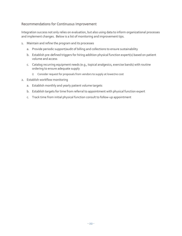# Recommendations for Continuous Improvement

Integration success not only relies on evaluation, but also using data to inform organizational processes and implement changes. Below is a list of monitoring and improvement tips.

- 1. Maintain and refine the program and its processes
	- a. Provide periodic support/audit of billing and collections to ensure sustainability
	- b. Establish pre-defined triggers for hiring addition physical function expert(s) based on patient volume and access
	- c. Catalog recurring equipment needs (e.g., topical analgesics, exercise bands) with routine ordering to ensure adequate supply
		- i) Consider request for proposals from vendors to supply at lower/no cost
- 2. Establish workflow monitoring
	- a. Establish monthly and yearly patient volume targets
	- b. Establish targets for time from referral to appointment with physical function expert
	- c. Track time from initial physical function consult to follow-up appointment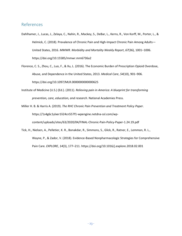# <span id="page-23-0"></span>References

- Dahlhamer, J., Lucas, J., Zelaya, C., Nahin, R., Mackey, S., DeBar, L., Kerns, R., Von Korff, M., Porter, L., & Helmick, C. (2018). Prevalence of Chronic Pain and High-Impact Chronic Pain Among Adults— United States, 2016. *MMWR. Morbidity and Mortality Weekly Report*, *67*(36), 1001–1006. https://doi.org/10.15585/mmwr.mm6736a2
- Florence, C. S., Zhou, C., Luo, F., & Xu, L. (2016). The Economic Burden of Prescription Opioid Overdose, Abuse, and Dependence in the United States, 2013. *Medical Care*, *54*(10), 901–906. https://doi.org/10.1097/MLR.0000000000000625
- Institute of Medicine (U.S.) (Ed.). (2011). *Relieving pain in America: A blueprint for transforming prevention, care, education, and research*. National Academies Press.
- Miller H. B. & Harris A. (2019). *The RHC Chronic Pain Prevention and Treatment Policy Paper*. https://1s4g6c1ylxer1li24cn557f1-wpengine.netdna-ssl.com/wpcontent/uploads/sites/63/2020/04/FINAL-Chronic-Pain-Policy-Paper-1.24.19.pdf
- Tick, H., Nielsen, A., Pelletier, K. R., Bonakdar, R., Simmons, S., Glick, R., Ratner, E., Lemmon, R. L., Wayne, P., & Zador, V. (2018). Evidence-Based Nonpharmacologic Strategies for Comprehensive Pain Care. *EXPLORE*, *14*(3), 177–211. https://doi.org/10.1016/j.explore.2018.02.001